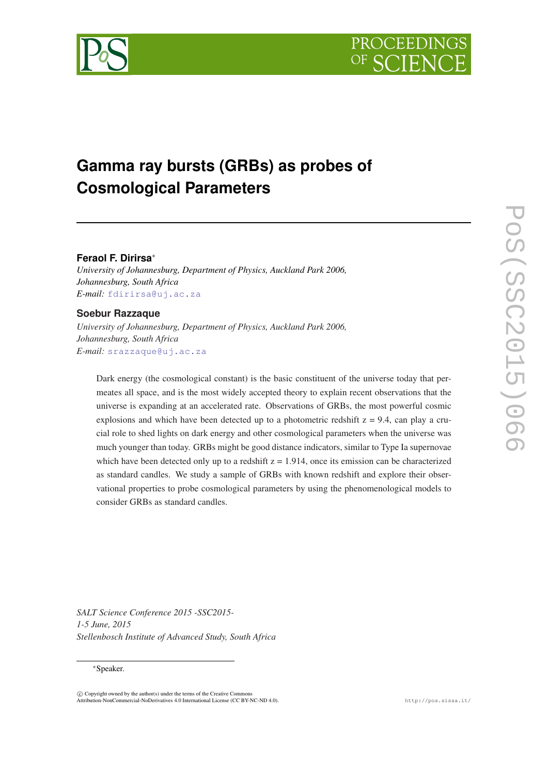



# **Gamma ray bursts (GRBs) as probes of Cosmological Parameters**

## **Feraol F. Dirirsa**<sup>∗</sup>

*University of Johannesburg, Department of Physics, Auckland Park 2006, Johannesburg, South Africa E-mail:* [fdirirsa@uj.ac.za](mailto:fdirirsa@uj.ac.za)

# **Soebur Razzaque**

*University of Johannesburg, Department of Physics, Auckland Park 2006, Johannesburg, South Africa E-mail:* [srazzaque@uj.ac.za](mailto:srazzaque@uj.ac.za)

Dark energy (the cosmological constant) is the basic constituent of the universe today that permeates all space, and is the most widely accepted theory to explain recent observations that the universe is expanding at an accelerated rate. Observations of GRBs, the most powerful cosmic explosions and which have been detected up to a photometric redshift  $z = 9.4$ , can play a crucial role to shed lights on dark energy and other cosmological parameters when the universe was much younger than today. GRBs might be good distance indicators, similar to Type Ia supernovae which have been detected only up to a redshift  $z = 1.914$ , once its emission can be characterized as standard candles. We study a sample of GRBs with known redshift and explore their observational properties to probe cosmological parameters by using the phenomenological models to consider GRBs as standard candles.

*SALT Science Conference 2015 -SSC2015- 1-5 June, 2015 Stellenbosch Institute of Advanced Study, South Africa*

#### <sup>∗</sup>Speaker.

 $\overline{c}$  Copyright owned by the author(s) under the terms of the Creative Common Attribution-NonCommercial-NoDerivatives 4.0 International License (CC BY-NC-ND 4.0). http://pos.sissa.it/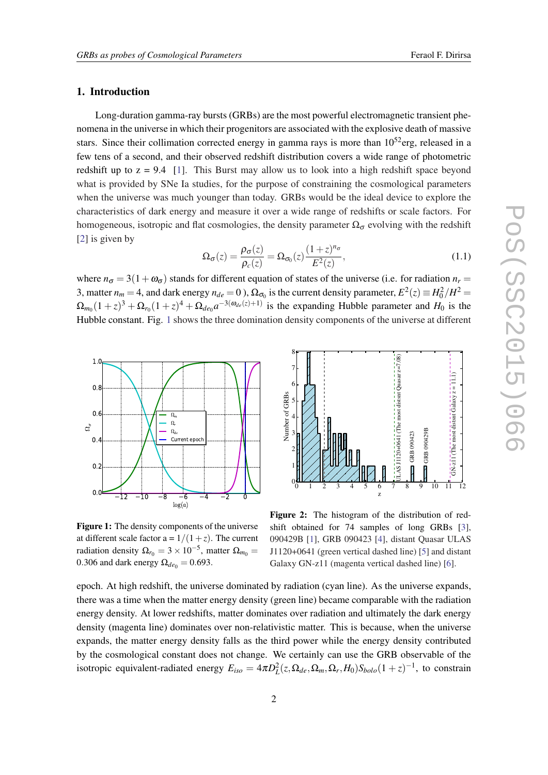# <span id="page-1-0"></span>1. Introduction

Long-duration gamma-ray bursts (GRBs) are the most powerful electromagnetic transient phenomena in the universe in which their progenitors are associated with the explosive death of massive stars. Since their collimation corrected energy in gamma rays is more than  $10^{52}$ erg, released in a few tens of a second, and their observed redshift distribution covers a wide range of photometric redshift up to  $z = 9.4$  [[1](#page-5-0)]. This Burst may allow us to look into a high redshift space beyond what is provided by SNe Ia studies, for the purpose of constraining the cosmological parameters when the universe was much younger than today. GRBs would be the ideal device to explore the characteristics of dark energy and measure it over a wide range of redshifts or scale factors. For homogeneous, isotropic and flat cosmologies, the density parameter  $\Omega_{\sigma}$  evolving with the redshift [[2](#page-5-0)] is given by

$$
\Omega_{\sigma}(z) = \frac{\rho_{\sigma}(z)}{\rho_c(z)} = \Omega_{\sigma_0}(z) \frac{(1+z)^{n_{\sigma}}}{E^2(z)},
$$
\n(1.1)

where  $n_{\sigma} = 3(1+\omega_{\sigma})$  stands for different equation of states of the universe (i.e. for radiation  $n_r =$ 3, matter  $n_m = 4$ , and dark energy  $n_{de} = 0$  ),  $\Omega_{\sigma_0}$  is the current density parameter,  $E^2(z) \equiv H_0^2/H^2 =$  $\Omega_{m_0}(1+z)^3 + \Omega_{r_0}(1+z)^4 + \Omega_{de_0}a^{-3(\omega_{de}(z)+1)}$  is the expanding Hubble parameter and  $H_0$  is the Hubble constant. Fig. 1 shows the three domination density components of the universe at different



Figure 1: The density components of the universe at different scale factor  $a = 1/(1+z)$ . The current radiation density  $\Omega_{r_0} = 3 \times 10^{-5}$ , matter  $\Omega_{m_0} =$ 0.306 and dark energy  $\Omega_{de0} = 0.693$ .



Figure 2: The histogram of the distribution of redshift obtained for 74 samples of long GRBs [\[3](#page-5-0)], 090429B [\[1](#page-5-0)], GRB 090423 [[4\]](#page-5-0), distant Quasar ULAS J1120+0641 (green vertical dashed line) [\[5](#page-5-0)] and distant Galaxy GN-z11 (magenta vertical dashed line) [\[6](#page-5-0)].

epoch. At high redshift, the universe dominated by radiation (cyan line). As the universe expands, there was a time when the matter energy density (green line) became comparable with the radiation energy density. At lower redshifts, matter dominates over radiation and ultimately the dark energy density (magenta line) dominates over non-relativistic matter. This is because, when the universe expands, the matter energy density falls as the third power while the energy density contributed by the cosmological constant does not change. We certainly can use the GRB observable of the isotropic equivalent-radiated energy  $E_{iso} = 4\pi D_L^2(z, \Omega_{de}, \Omega_m, \Omega_r, H_0) S_{bolo} (1+z)^{-1}$ , to constrain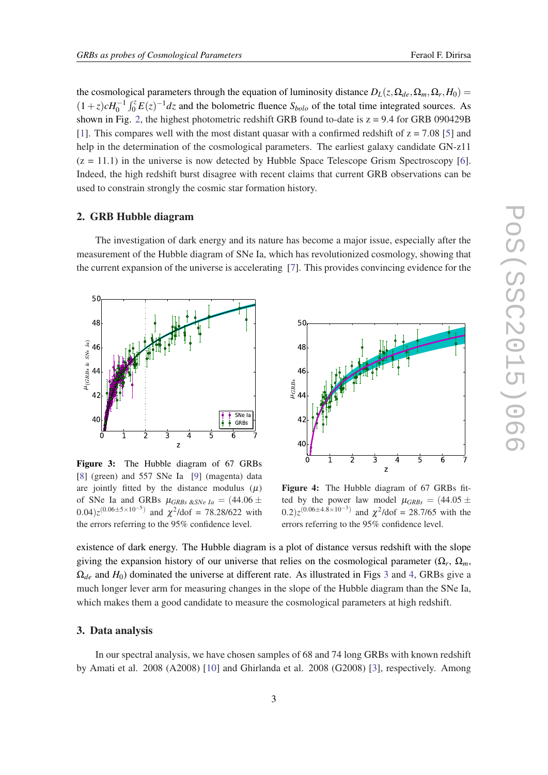the cosmological parameters through the equation of luminosity distance  $D_L(z, \Omega_{de}, \Omega_m, \Omega_r, H_0)$  $(1+z)cH_0^{-1}\int_0^z E(z)^{-1}dz$  and the bolometric fluence *S*<sub>*bolo*</sub> of the total time integrated sources. As shown in Fig. [2](#page-1-0), the highest photometric redshift GRB found to-date is  $z = 9.4$  for GRB 090429B [[1](#page-5-0)]. This compares well with the most distant quasar with a confirmed redshift of  $z = 7.08$  [\[5\]](#page-5-0) and help in the determination of the cosmological parameters. The earliest galaxy candidate GN-z11  $(z = 11.1)$  in the universe is now detected by Hubble Space Telescope Grism Spectroscopy [\[6\]](#page-5-0). Indeed, the high redshift burst disagree with recent claims that current GRB observations can be used to constrain strongly the cosmic star formation history.

#### 2. GRB Hubble diagram

The investigation of dark energy and its nature has become a major issue, especially after the measurement of the Hubble diagram of SNe Ia, which has revolutionized cosmology, showing that the current expansion of the universe is accelerating [[7](#page-5-0)]. This provides convincing evidence for the



Figure 3: The Hubble diagram of 67 GRBs [[8\]](#page-5-0) (green) and 557 SNe Ia [[9\]](#page-5-0) (magenta) data are jointly fitted by the distance modulus  $(\mu)$ of SNe Ia and GRBs  $\mu_{GRBs \& SNe Ia} = (44.06 \pm$  $(0.04)z^{(0.06\pm5\times10^{-5})}$  and  $\chi^2$ /dof = 78.28/622 with the errors referring to the 95% confidence level.



Figure 4: The Hubble diagram of 67 GRBs fitted by the power law model  $\mu_{GRBs} = (44.05 \pm 1)$  $(0.2)z^{(0.06\pm4.8\times10^{-3})}$  and  $\chi^2$ /dof = 28.7/65 with the errors referring to the 95% confidence level.

existence of dark energy. The Hubble diagram is a plot of distance versus redshift with the slope giving the expansion history of our universe that relies on the cosmological parameter  $(\Omega_r, \Omega_m)$  $\Omega_{de}$  and  $H_0$ ) dominated the universe at different rate. As illustrated in Figs 3 and 4, GRBs give a much longer lever arm for measuring changes in the slope of the Hubble diagram than the SNe Ia, which makes them a good candidate to measure the cosmological parameters at high redshift.

## 3. Data analysis

In our spectral analysis, we have chosen samples of 68 and 74 long GRBs with known redshift by Amati et al. 2008 (A2008) [\[10](#page-5-0)] and Ghirlanda et al. 2008 (G2008) [\[3\]](#page-5-0), respectively. Among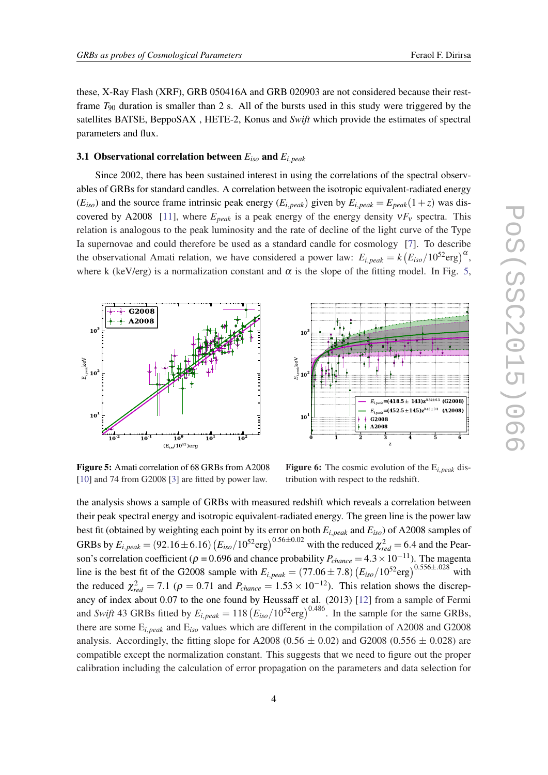<span id="page-3-0"></span>these, X-Ray Flash (XRF), GRB 050416A and GRB 020903 are not considered because their restframe *T*<sup>90</sup> duration is smaller than 2 s. All of the bursts used in this study were triggered by the satellites BATSE, BeppoSAX , HETE-2, Konus and *Swift* which provide the estimates of spectral parameters and flux.

# 3.1 Observational correlation between *Eiso* and *Ei*,*peak*

Since 2002, there has been sustained interest in using the correlations of the spectral observables of GRBs for standard candles. A correlation between the isotropic equivalent-radiated energy  $(E_{iso})$  and the source frame intrinsic peak energy  $(E_{i,peak})$  given by  $E_{i,peak} = E_{peak}(1+z)$  was dis-covered by A2008 [[11\]](#page-5-0), where  $E_{peak}$  is a peak energy of the energy density  $vF_v$  spectra. This relation is analogous to the peak luminosity and the rate of decline of the light curve of the Type Ia supernovae and could therefore be used as a standard candle for cosmology [\[7\]](#page-5-0). To describe the observational Amati relation, we have considered a power law:  $E_{i,peak} = k (E_{iso}/10^{52} \text{erg})^{\alpha}$ , where k (keV/erg) is a normalization constant and  $\alpha$  is the slope of the fitting model. In Fig. 5,



Figure 5: Amati correlation of 68 GRBs from A2008 [[10\]](#page-5-0) and 74 from G2008 [[3\]](#page-5-0) are fitted by power law.

Figure 6: The cosmic evolution of the E*i*,*peak* distribution with respect to the redshift.

the analysis shows a sample of GRBs with measured redshift which reveals a correlation between their peak spectral energy and isotropic equivalent-radiated energy. The green line is the power law best fit (obtained by weighting each point by its error on both *Ei*,*peak* and *Eiso*) of A2008 samples of GRBs by  $E_{i,peak} = (92.16 \pm 6.16) (E_{iso}/10^{52} \text{erg})^{0.56 \pm 0.02}$  with the reduced  $\chi^2_{red} = 6.4$  and the Pearson's correlation coefficient ( $\rho = 0.696$  and chance probability  $P_{change} = 4.3 \times 10^{-11}$ ). The magenta line is the best fit of the G2008 sample with  $E_{i,peak} = (77.06 \pm 7.8) (E_{iso}/10^{52} \text{erg})^{0.556 \pm .028}$  with the reduced  $\chi^2_{red} = 7.1$  ( $\rho = 0.71$  and  $P_{chance} = 1.53 \times 10^{-12}$ ). This relation shows the discrepancy of index about 0.07 to the one found by Heussaff et al. (2013) [[12](#page-5-0)] from a sample of Fermi and *Swift* 43 GRBs fitted by  $E_{i,peak} = 118 (E_{iso}/10^{52} \text{erg})^{0.486}$ . In the sample for the same GRBs, there are some E*i*,*peak* and E*iso* values which are different in the compilation of A2008 and G2008 analysis. Accordingly, the fitting slope for A2008 (0.56  $\pm$  0.02) and G2008 (0.556  $\pm$  0.028) are compatible except the normalization constant. This suggests that we need to figure out the proper calibration including the calculation of error propagation on the parameters and data selection for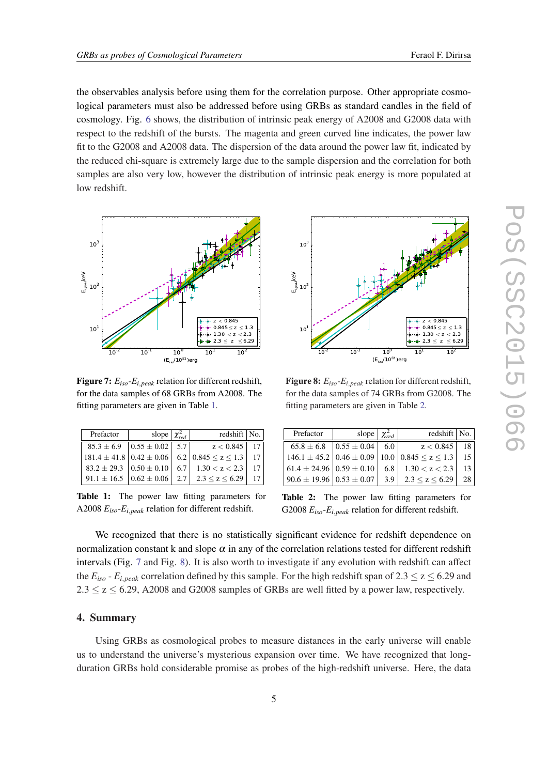the observables analysis before using them for the correlation purpose. Other appropriate cosmological parameters must also be addressed before using GRBs as standard candles in the field of cosmology. Fig. [6](#page-3-0) shows, the distribution of intrinsic peak energy of A2008 and G2008 data with respect to the redshift of the bursts. The magenta and green curved line indicates, the power law fit to the G2008 and A2008 data. The dispersion of the data around the power law fit, indicated by the reduced chi-square is extremely large due to the sample dispersion and the correlation for both samples are also very low, however the distribution of intrinsic peak energy is more populated at low redshift.



Figure 7: *Eiso*-*Ei*,*peak* relation for different redshift, for the data samples of 68 GRBs from A2008. The fitting parameters are given in Table 1.

| Prefactor                                          | slope $\chi^2_{rad}$                                 | redshift   No.                                                             |                 |
|----------------------------------------------------|------------------------------------------------------|----------------------------------------------------------------------------|-----------------|
|                                                    | $85.3 \pm 6.9$ $\vert 0.55 \pm 0.02 \vert 5.7 \vert$ | $z < 0.845$   17                                                           |                 |
|                                                    |                                                      | $181.4 \pm 41.8 \mid 0.42 \pm 0.06 \mid 6.2 \mid 0.845 \le z \le 1.3 \mid$ | 17 <sup>1</sup> |
|                                                    |                                                      | $83.2 \pm 29.3$ $0.50 \pm 0.10$ 6.7 1.30 < z < 2.3                         |                 |
| $91.1 \pm 16.5$ $\mid 0.62 \pm 0.06 \mid 2.7 \mid$ |                                                      | 2.3 < z < 6.29                                                             |                 |

Table 1: The power law fitting parameters for A2008 *Eiso*-*Ei*,*peak* relation for different redshift.



Figure 8: *Eiso*-*Ei*,*peak* relation for different redshift, for the data samples of 74 GRBs from G2008. The fitting parameters are given in Table 2.

| Prefactor                                        | slope $\chi^2_{red}$                              |     | redshift $\vert$ No.                                                        |    |
|--------------------------------------------------|---------------------------------------------------|-----|-----------------------------------------------------------------------------|----|
|                                                  | $65.8 \pm 6.8$ $\mid 0.55 \pm 0.04 \mid 6.0 \mid$ |     | z < 0.845                                                                   | 18 |
|                                                  |                                                   |     | $146.1 \pm 45.2 \cdot 0.46 \pm 0.09 \cdot 10.0 \cdot 0.845 \leq z \leq 1.3$ | 15 |
| $61.4 \pm 24.96 \cdot 0.59 \pm 0.10$             |                                                   |     | 6.8 1.30 $< z < 2.3$                                                        | 13 |
| $90.6 \pm 19.96 \, \vert 0.53 \pm 0.07 \, \vert$ |                                                   | 3.9 | $2.3 \le z \le 6.29$                                                        | 28 |

Table 2: The power law fitting parameters for G2008 *Eiso*-*Ei*,*peak* relation for different redshift.

We recognized that there is no statistically significant evidence for redshift dependence on normalization constant k and slope  $\alpha$  in any of the correlation relations tested for different redshift intervals (Fig. 7 and Fig. 8). It is also worth to investigate if any evolution with redshift can affect the  $E_{iso}$  -  $E_{i,peak}$  correlation defined by this sample. For the high redshift span of 2.3  $\leq$  z  $\leq$  6.29 and  $2.3 \le z \le 6.29$ , A2008 and G2008 samples of GRBs are well fitted by a power law, respectively.

### 4. Summary

Using GRBs as cosmological probes to measure distances in the early universe will enable us to understand the universe's mysterious expansion over time. We have recognized that longduration GRBs hold considerable promise as probes of the high-redshift universe. Here, the data